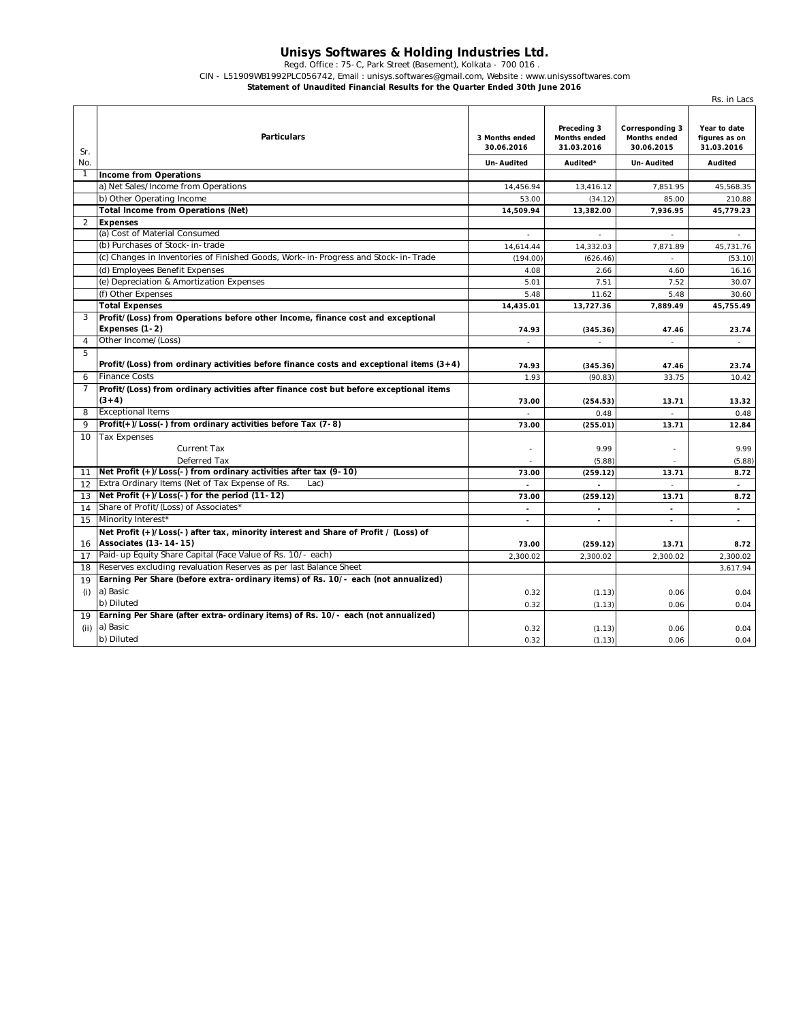## **Unisys Softwares & Holding Industries Ltd.**

Regd. Office : 75-C, Park Street (Basement), Kolkata - 700 016 .

CIN - L51909WB1992PLC056742, Email : unisys.softwares@gmail.com, Website : www.unisyssoftwares.com

**Statement of Unaudited Financial Results for the Quarter Ended 30th June 2016**

|                |                                                                                                                     |                              |                                                  |                                                      | Rs. in Lacs                                 |
|----------------|---------------------------------------------------------------------------------------------------------------------|------------------------------|--------------------------------------------------|------------------------------------------------------|---------------------------------------------|
| Sr.            | <b>Particulars</b>                                                                                                  | 3 Months ended<br>30.06.2016 | Preceding 3<br><b>Months ended</b><br>31.03.2016 | <b>Corresponding 3</b><br>Months ended<br>30.06.2015 | Year to date<br>figures as on<br>31.03.2016 |
| No.            |                                                                                                                     | Un-Audited                   | Audited*                                         | Un-Audited                                           | <b>Audited</b>                              |
| 1              | <b>Income from Operations</b>                                                                                       |                              |                                                  |                                                      |                                             |
|                | a) Net Sales/Income from Operations                                                                                 | 14,456.94                    | 13,416.12                                        | 7,851.95                                             | 45,568.35                                   |
|                | b) Other Operating Income                                                                                           | 53.00                        | (34.12)                                          | 85.00                                                | 210.88                                      |
|                | <b>Total Income from Operations (Net)</b>                                                                           | 14,509.94                    | 13,382.00                                        | 7,936.95                                             | 45,779.23                                   |
| $\overline{2}$ | <b>Expenses</b>                                                                                                     |                              |                                                  |                                                      |                                             |
|                | (a) Cost of Material Consumed                                                                                       | $\overline{a}$               | $\overline{a}$                                   | $\overline{a}$                                       | $\overline{a}$                              |
|                | (b) Purchases of Stock-in-trade                                                                                     | 14,614.44                    | 14,332.03                                        | 7,871.89                                             | 45,731.76                                   |
|                | (c) Changes in Inventories of Finished Goods, Work-in-Progress and Stock-in-Trade                                   | (194.00)                     | (626.46)                                         | $\sim$                                               | (53.10)                                     |
|                | (d) Employees Benefit Expenses                                                                                      | 4.08                         | 2.66                                             | 4.60                                                 | 16.16                                       |
|                | (e) Depreciation & Amortization Expenses                                                                            | 5.01                         | 7.51                                             | 7.52                                                 | 30.07                                       |
|                | (f) Other Expenses                                                                                                  | 5.48                         | 11.62                                            | 5.48                                                 | 30.60                                       |
|                | <b>Total Expenses</b>                                                                                               | 14,435.01                    | 13,727.36                                        | 7,889.49                                             | 45,755.49                                   |
| 3              | Profit/(Loss) from Operations before other Income, finance cost and exceptional                                     |                              |                                                  |                                                      |                                             |
|                | Expenses (1-2)                                                                                                      | 74.93                        | (345.36)                                         | 47.46                                                | 23.74                                       |
| 4              | Other Income/(Loss)                                                                                                 |                              |                                                  |                                                      | $\sim$                                      |
| 5              |                                                                                                                     |                              |                                                  |                                                      |                                             |
|                | Profit/(Loss) from ordinary activities before finance costs and exceptional items $(3+4)$                           | 74.93                        | (345.36)                                         | 47.46                                                | 23.74                                       |
| 6              | <b>Finance Costs</b>                                                                                                | 1.93                         | (90.83)                                          | 33.75                                                | 10.42                                       |
| 7              | Profit/(Loss) from ordinary activities after finance cost but before exceptional items                              |                              |                                                  |                                                      |                                             |
|                | $(3+4)$                                                                                                             | 73.00                        | (254.53)                                         | 13.71                                                | 13.32                                       |
| 8              | <b>Exceptional Items</b>                                                                                            |                              | 0.48                                             |                                                      | 0.48                                        |
| $\mathsf Q$    | Profit(+)/Loss(-) from ordinary activities before Tax (7-8)                                                         | 73.00                        | (255.01)                                         | 13.71                                                | 12.84                                       |
| 10             | <b>Tax Expenses</b>                                                                                                 |                              |                                                  |                                                      |                                             |
|                | Current Tax                                                                                                         |                              | 9.99                                             |                                                      | 9.99                                        |
|                | Deferred Tax                                                                                                        |                              | (5.88)                                           |                                                      | (5.88)                                      |
| 11             | Net Profit (+)/Loss(-) from ordinary activities after tax (9-10)                                                    | 73.00                        | (259.12)                                         | 13.71                                                | 8.72                                        |
| 12             | Extra Ordinary Items (Net of Tax Expense of Rs.<br>Lac                                                              |                              |                                                  |                                                      | $\overline{a}$                              |
| 13             | Net Profit (+)/Loss(-) for the period (11-12)                                                                       | 73.00                        | (259.12)                                         | 13.71                                                | 8.72                                        |
| 14             | Share of Profit/(Loss) of Associates*                                                                               | $\overline{a}$               | $\blacksquare$                                   | $\sim$                                               | $\sim$                                      |
| 15             | Minority Interest*                                                                                                  | $\overline{a}$               | $\blacksquare$                                   | $\overline{a}$                                       | $\blacksquare$                              |
| 16             | Net Profit (+)/Loss(-) after tax, minority interest and Share of Profit / (Loss) of<br><b>Associates (13-14-15)</b> | 73.00                        | (259.12)                                         | 13.71                                                | 8.72                                        |
| 17             | Paid-up Equity Share Capital (Face Value of Rs. 10/- each)                                                          | 2,300.02                     | 2,300.02                                         | 2,300.02                                             | 2,300.02                                    |
| 18             | Reserves excluding revaluation Reserves as per last Balance Sheet                                                   |                              |                                                  |                                                      | 3,617.94                                    |
| 19             | Earning Per Share (before extra-ordinary items) of Rs. 10/- each (not annualized)                                   |                              |                                                  |                                                      |                                             |
| (i)            | a) Basic                                                                                                            | 0.32                         | (1.13)                                           | 0.06                                                 | 0.04                                        |
|                | b) Diluted                                                                                                          | 0.32                         | (1.13)                                           | 0.06                                                 | 0.04                                        |
| 19             | Earning Per Share (after extra-ordinary items) of Rs. 10/- each (not annualized)                                    |                              |                                                  |                                                      |                                             |
| (ii)           | a) Basic                                                                                                            | 0.32                         | (1.13)                                           | 0.06                                                 | 0.04                                        |
|                | b) Diluted                                                                                                          | 0.32                         | (1.13)                                           | 0.06                                                 | 0.04                                        |